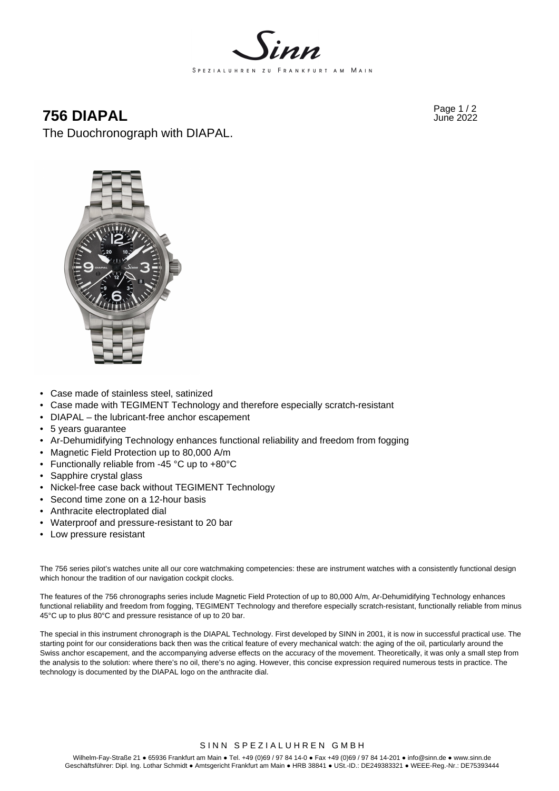

# Page 1 / 2 **756 DIAPAL** June 2022

The Duochronograph with DIAPAL.



- Case made of stainless steel, satinized
- Case made with TEGIMENT Technology and therefore especially scratch-resistant
- DIAPAL the lubricant-free anchor escapement
- 5 years guarantee
- Ar-Dehumidifying Technology enhances functional reliability and freedom from fogging
- Magnetic Field Protection up to 80,000 A/m
- Functionally reliable from -45 °C up to +80°C
- Sapphire crystal glass
- Nickel-free case back without TEGIMENT Technology
- Second time zone on a 12-hour basis
- Anthracite electroplated dial
- Waterproof and pressure-resistant to 20 bar
- Low pressure resistant

The 756 series pilot's watches unite all our core watchmaking competencies: these are instrument watches with a consistently functional design which honour the tradition of our navigation cockpit clocks.

The features of the 756 chronographs series include Magnetic Field Protection of up to 80,000 A/m, Ar‑Dehumidifying Technology enhances functional reliability and freedom from fogging, TEGIMENT Technology and therefore especially scratch-resistant, functionally reliable from minus 45°C up to plus 80°C and pressure resistance of up to 20 bar.

The special in this instrument chronograph is the DIAPAL Technology. First developed by SINN in 2001, it is now in successful practical use. The starting point for our considerations back then was the critical feature of every mechanical watch: the aging of the oil, particularly around the Swiss anchor escapement, and the accompanying adverse effects on the accuracy of the movement. Theoretically, it was only a small step from the analysis to the solution: where there's no oil, there's no aging. However, this concise expression required numerous tests in practice. The technology is documented by the DIAPAL logo on the anthracite dial.

#### SINN SPEZIALUHREN GMBH